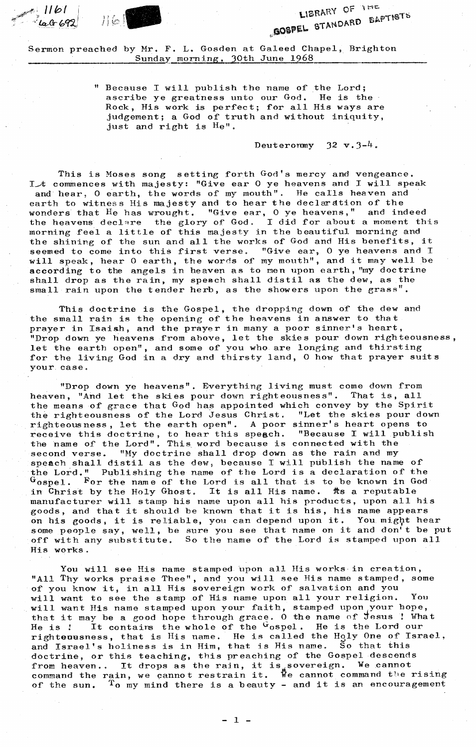$ar67$ Jib!



LIBRARY OF THE LIBRARY OF THE BAPTISTS

Sermon preached by Mr. F. L. Gosden at Galeed Chapel, Brighton Sunday morning, 30th June 1968

> " Because I will publish the name of the Lord; ascribe ye greatness unto our God. He is the Rock, His work is perfect; for all His ways are judgement; a God of truth and without iniquity, just and right is He".

> > Deuteronmy  $32 \text{ v.} 3\text{-}4$ .

This is Moses song setting forth God's mercy and vengeance. Lit commences with majesty: "Give ear 0 ye heavens and I will speak and hear, O earth, the words of my mouth". He calls heaven and earth to witness His majesty and to hear the declaration of the wonders that He has wrought. "Give ear, 0 ye heavens," and indeed the heavens declare the glory of God. I did for about a moment this morning feel a little of this majesty in the beautiful morning and the shining of the sun and all the works of God and His benefits, it seemed to come into this first verse. "Give ear, 0 ye heavens and I will speak, hear 0 earth, the words of my mouth", and it may well be according to the angels in heaven as to men upon earth, "my doctrine shall drop as the rain, my speech shall distil as the dew, as the small rain upon the tender herb, as the showers upon the grass".

This doctrine is the Gospel, the dropping down of the dew and the small rain is the opening of the heavens in answer to that prayer in Isaish, and the prayer in many a poor sinner's heart, "Drop down ye heavens from above, let the skies pour down righteousness let the earth open", and some of you who are longing and thirsting for the living God in a dry and thirsty land, 0 how that prayer suits your case.

"Drop down ye heavens". Everything living must come down from heaven, "And let the skies pour down righteousness". That is, all the means of grace that God has appointed which convey by the Spirit the righteousness of the Lord Jesus Christ. "Let the skies pour down righteousness, let the earth open". A poor sinner's heart opens to receive this doctrine, to hear this speech. "Because I will publish the name of the Lord". This word because is connected with the second verse. "My doctrine shall drop down as the rain and my speach shall distil as the dew, because I will publish the name of the Lord." Publishing the name of the Lord is a declaration of the  $G$ ospel. For the name of the Lord is all that is to be known in God in Christ by the Holy Ghost. It is all His name. As a reputable manufacturer will stamp his name upon all his products, upon all his goods, and that it should be known that it is his, his name appears on his goods, it is reliable, you can depend upon it. You might hear some people say, well, be sure you see that name on it and don't be put off with any substitute. So the name of the Lord is stamped upon all His works.

You will see His name stamped 'upon all His works in creation, "All Thy works praise Thee", and you will see His name stamped, some of you know it, in all His sovereign work of salvation and you will want to see the stamp of His name upon all your religion. You will want His name stamped upon your faith, stamped upon your hope, that it may be a good hope through grace. O the name of Jesus ! What He is ! It contains the whole of the Gospel. He is the Lord our righteousness, that is His name. He is called the Holy One of Israel, and Israel's holiness is in Him, that is His name. So that this doctrine, or this teaching, this preaching of the Gospel descends from heaven.. It drops as the rain, it is sovereign. We cannot command the rain, we cannot restrain it. We cannot command the rising of the sun. To my mind there is a beauty - and it is an encouragement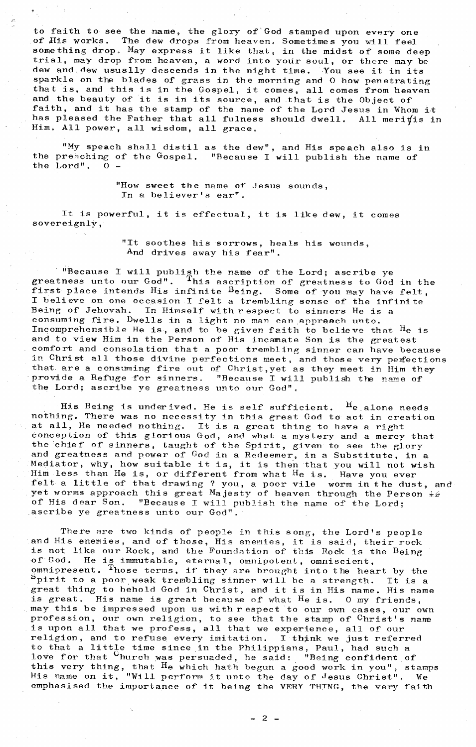to faith to see the name, the glory of'God stamped upon every one of His works. The dew drops from heaven. Sometimes you will feel something drop. May express it like that, in the midst of some deep trial, may drop from heaven, a word into your soul, or there may be dew and dew usually descends in the night time. You see it in its sparkle on the blades of grass in the morning and 0 how penetrating that is, and this is in the Gospel, it comes, all comes from heaven and the beauty of it is in its source, and that is the Object of faith, and it has the stamp of the name of the Lord Jesus in Whom it has pleased the Father that all fulness should dwell. All merifis in Him. All power, all wisdom, all grace.

"My speach shall distil as the dew", and His speach also is in the preaching of the Gospel. "Because I will publish the name of "Because I will publish the name of the Lord". 0 -

> "How sweet the name of Jesus sounds, In a believer's ear".

It is powerful, it is effectual, it is like dew, it comes sovereignly,

> "It soothes his sorrows, heals his wounds, And drives away his fear".

"Because I will publish the name of the Lord; ascribe ye greatness unto our God". This ascription of greatness to God in the first place intends His infinite  $B_{\text{e}}$  and  $\overline{B}$  one of you may have felt. I believe on one occasion I felt a trembling sense of the infinite Being- of Jehovah. In Himself with respect to sinners He is a consuming fire. Dwells in a light no man can approach unto. Incomprehensible He is, and to be given faith to believe that He is and to view Him in the Person of His incanate Son is the greatest comfort and consolation that a poor trembling sinner can have because in Christ all those divine perfections meet, and those very perfections that. are a consuming fire out of Christ,yet as they meet in Him they provide a Refuge for sinners. "Because I will publish the name of the Lord; ascribe ye greatness unto our God".

His Being is underived. He is self sufficient. He alone needs nothing. There was no necessity in this great God to- act in creation at all, He needed nothing. It is a great thing to have a right conception of this glorious God, and what a mystery and a mercy that the chief of sinners, taught of the Spirit, given to see the glory and greatness and power of God in a Redeemer, in a Substitute, in a Mediator, why, how suitable it is, it is then that you will not wish Him less than He is, or different from what He is. Have you ever felt a little of that drawing ? you, a poor vile worm in the dust, and yet worms approach this great Majesty of heaven through the Person of His dear Son. "Because I will publish the name of the Lord; ascribe ye greatness unto our God".

There are two kinds of people in this song, the Lord's people and His enemies, and of those, His enemies, it is said, their rock<br>is not like our Rock, and the Foundation of this Rock is the Being<br>of God. He is immutable, eternal, omnipotent, omniscient. He is immutable, eternal, omnipotent, omniscient, omnipresent. Those terms, if they are brought into the heart by the spirit to a poor weak trembling sinner will be a strength. It is a great thing to behold God in Christ, and it is in His name. His name<br>is great. His name is great because of what  $He$  is. 0 my friends. His name is great because of what  $He$  is. 0 my friends, may this be impressed upon us with respect to our own cases, our own profession, our own religion, to see that the stamp of <sup>C</sup>hrist's name is upon all that we profess, all that we experience, all of our religion, and to refuse every imitation. I think we just referred to that a little time since in the Philippians, Paul, had such a love for that  $C_{\text{hurch was persuaded, he said:}}$  "Being confident of this very thing, that He which hath begun a good work in you", stamps His name on it, "Will perform it unto the day of Jesus Christ". We emphasised the importance of it being the VERY THING, the very faith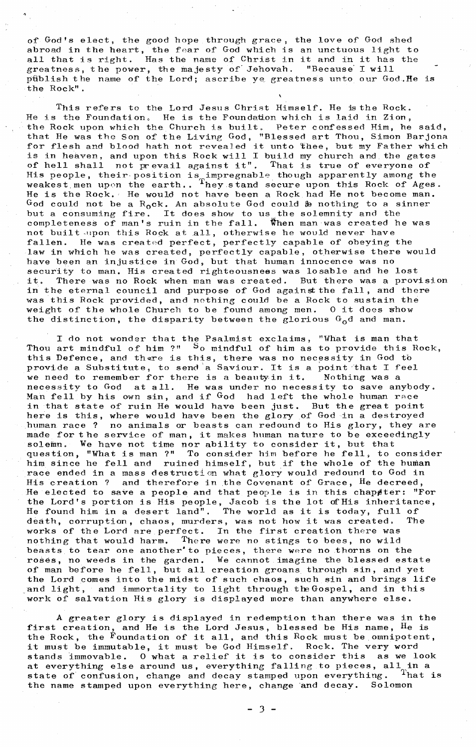of• God's elect, the good hope through grace, the love of God shed abroad in the heart, the fear of God which is an unctuous light to all that is right. Has the name of Christ in it and in it has the greatness, the power, the majesty of Jehovah. "Because' I will pfiblish the name of the Lord; ascribe ye. greatness unto our God,He is •the Rock".

This refers to the Lord Jesus Christ Himself. He is the Rock. He is the Foundation. He is the Foundation which is laid in Zion, the Rock upon which the. Church is built. Peter confessed Him, he said, that He was the Son of the Living God, "Blessed art Thou, Simon Barjona for flesh and blood hath not revealed it unto thee, but my Father which is in heaven, and upon this Rock will I build my church and the gates of hell shall not prevail against it". That is true of everyone of His people, their position is impregnable though apparently among the weakest men upon the earth..  $^{1}$ hey stand secure upon this Rock of Ages. He is the Rock. He would not have been a Rock, had He not become man. God could not be a  $R_0c$ k. An absolute God could  $\bm{\beta}$ e nothing to a sinner but a consuming fire. It does show to us<sub>w</sub>the solemnity and the completeness of man's ruin in the fall. When man was created he was not built-upon this Rock at all, otherwise he would never have fallen. He was created perfect, perfectly capable of obeying the law in which he was created, perfectly capable, otherwise there would have been an injustice in God, but that human innocence was no security to man. His created righteousness was losable and he lost it. There was no Rock when man was created. But there was a provision in the eternal council and purpose of God against the fall, and there was this Rock provided, and nothing could be a Rock to sustain the weight of the whole Church to be found among men. O it does show the distinction, the disparity between the glorious  $G_0$ d and man.

I do not wonder that the Psalmist exclaims, "What is man that Thou art mindful of him ?" So mindful of him as to provide this Rock, this Defence, and there is this, there was no necessity in God to provide a Substitute, to send a Saviour. It is a point that I feel<br>we need to remember for there is a beauty in it. Nothing was a we need to remember for there is a beauty in it. necessity to God at all. He was under no necessity to save anybody. Man fell by his own sin, and if God had left the whole human race in that state of ruin He would have been just. But the great point here is this, where would have been the glory of God in a destroyed human race ? no animals or beasts can redound to His glory, they are made for the service of man, it makes human nature to be exceedingly  $\texttt{solemn.}$  We have not time nor ability to consider it, but that question, "What is man ?" To consider him before he fell, to consider him since he fell and ruined himself, but if the whole of the human race ended in a mass destruction what glory would redound to God in His creation ? and therefore in the Covenant of Grace, He decreed, He elected to save a people and that people is in this chapeter: "For the Lord's portion is His people, Jacob is the lot of His inheritance, He found him in a desert land". The world as it is today, full of death, corruption, chaos, murders, was not how it was created. The works of the Lord are perfect. In the first creation there was nothing that would harm. There were no stings to bees, no wild beasts, to tear one another'to pieces, there were no thorns on the roses, no weeds in the garden. We cannot imagine the blessed estate of man before he fell, but all creation groans, through sin, and yet the Lord comes into the midst of such chaos, such sin and brings life and light, and immortality to light through the Gospel, and in this work of salvation His glory is displayed more than anywhere else.

A greater glory is displayed in redemption than there was in the first creation, and He is the Lord Jesus, blessed be His name,  $^{\text{H}}$ e is the Rock, the  $\tilde{F}$ oundation of it all, and this Rock must be omnipotent, it must be immutable, it must be God Himself. Rock. The very word stands immovable. 0 what a relief it is to consider this as we look at everything else around us, everything falling to pieces, all in a state of confusion. change and decay stamped upon everything. That is state of confusion, change and decay stamped upon everything. The name stamped upon everything here, change and decay. Solomon the name stamped upon everything here, change and decay.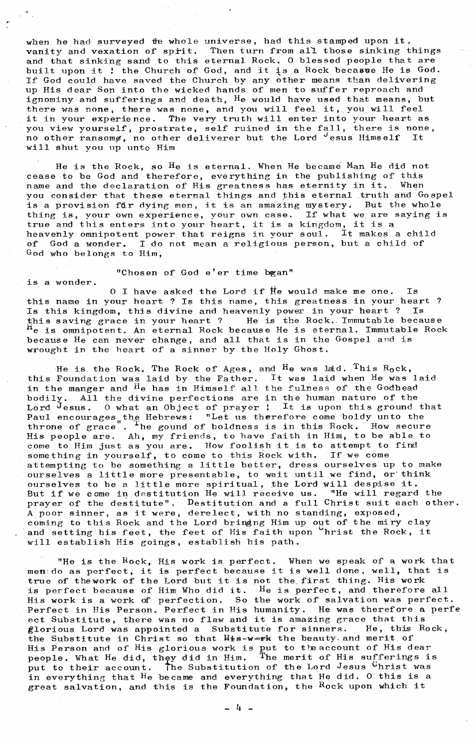when he had surveyed the whole universe, had this stamped upon it, vanity and vexation of sprit. Then turn from all those sinking things and that sinking sand to this eternal Rock. 0 blessed people that are built upon it ! the Church of God, and it is a Rock becasse He is God. If God could have saved the Church by any other means than delivering up His dear Son into the wicked hands of men to suffer reproach and ignominy and sufferings and death,  $H<sub>e</sub>$  would have used that means, but there was none, there was none, and you will feel it, you will feel there was none, there was hone, and you will leer it, you will leer<br>it in your experience. The very truth will enter into your heart as you view your experience. The very truth will enter this your hears as<br>you view yourself, prostrate, self ruined in the fall, there is none, no other ransoms, no other deliverer but the Lord  $\theta$  esus Himself It will shut you up unto Him

He is the Rock, so He is eternal. When He became Man He did not cease to be God and therefore, everything in the publishing of this<br>name and the declaration of His greatness has eternity in it. When name and the declaration of His greatness has eternity in it. you consider that these eternal things and this eternal truth and Gospel is a provision far dying men, it is an amazing mystery. But the whole thing is, your own experience, your own case. If what we are saying is thing is, your own experience, your own case. If what we are strue and this enters into your heart, it is a kingdom, it is a heavenly omnipotent power that reigns in your soul. It makes a child of God a wonder. I do not mean a religious person, but a child of God who belongs to Him,

## "Chosen of God e'er time bgan"

is a wonder.

 $0$  I have asked the Lord if  $He$  would make me one. Is this name in your heart ? Is this name, this greatness in your heart ?<br>Is this kingdom, this divine and heavenly power in your heart ? Is Is this kingdom, this divine and heavenly power in your heart ? this saving grace in your heart ? He is the Rock. Immutable because he is omnipotent. An eternal Rock because He is eternal. Immutable Rock because He can never change, and all that is in the Gospel and is wrought in the heart of a sinner by the Holy Ghost.

He is the Rock. The Rock of Ages, and  $^{\rm H}$ e was laid.  $^{\rm T}$ his R<sub>o</sub>ck, this Foundation was laid by the Father. It was laid when  $H_e$  was laid in the manger and  $\overline{H}$  has in Himself all the fulness of the Godhead bodily. All the divine perfections are in the human nature of the Lord  $J_{\text{esus}}$ . 0 what an Object of prayer ! It is upon this ground that Paul encourages,  $\frac{1}{k}$  Hebrews: "Let us therefore come boldy unto the throne of grace". The gound of boldness is in this Rock. How secure throne of grace. He gound of boldness is in this hock. How secure<br>His people are. Ah, my friends, to have faith in Him, to be able to come to Him just as you are. How foolish it is to attempt to find some to him just as you are. How rooff it is to decompose something in yourself, to come to this hock with. If we come and tempting to be something a little better, dress ourselves up to make ourselves a little more presentable, to wait until we find, or think ourselves a little more presentable, to wait until we lind, of this but if we come in destitution He will receive us. "He will regard the prayer of the destitute". Destitution and a full Christ suit each other. prayer of the destructed: Estruction and a full entred survey. coming to this Rock and the Lord bringing Him up out of the miry clay coming to this Rock and the Lord oringing him up out of the milty clay<br>and setting his feet, the feet of His faith upon hrist the Rock, it and setting his reet, the reet of his raith up.

"He is the  $Rock$ , His work is perfect. When we speak of a work that menido as perfect, it is perfect because it is well done, well, that is true of thework of the Lord but it is not the first thing. His work is perfect because of Him Who did it.  $H_{e}$  is perfect, and therefore all His work is a work of perfection. So the work of salvation was perfect. Perfect in His Person. Perfect in His humanity. He was therefore a perfe ect Substitute, there was no flaw and it is amazing grace that this<br>florious Lord was appointed a Substitute for sinners. He, this Rock, glorious Lord was appointed a Substitute for sinners. the Substitute in Christ so that  $H_i$ s-werk the beauty and merit of His Person and of His glorious work is put to the account of His dear people. What He did, they did in Him. The merit of His sufferings is people. what he did, they did in him. The metric of his suitchings it in everything that He became and everything that He did. 0 this is a great salvation, and this is the Foundation, the Rock upon which it